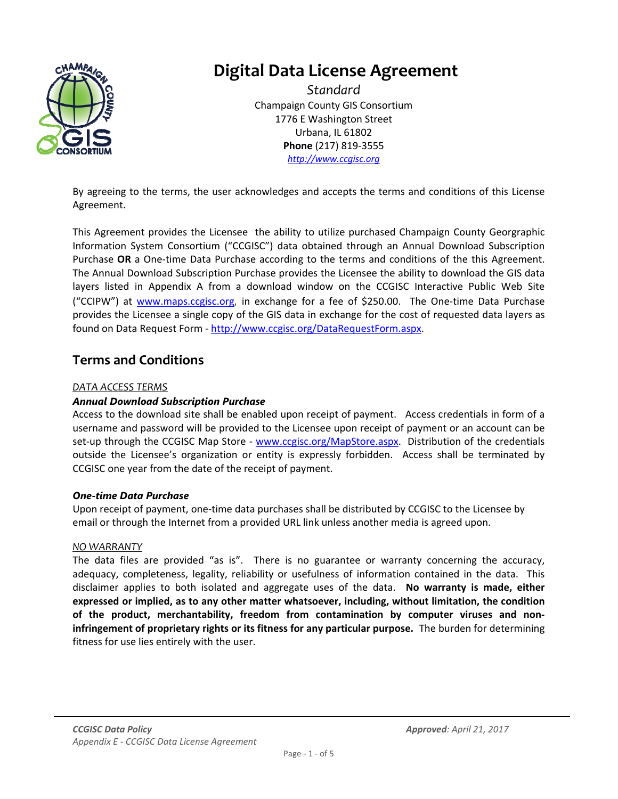

# **Digital Data License Agreement**

*Standard* Champaign County GIS Consortium 1776 E Washington Street Urbana, IL 61802 **Phone** (217) 819‐3555 *http://www.ccgisc.org*

By agreeing to the terms, the user acknowledges and accepts the terms and conditions of this License Agreement.

This Agreement provides the Licensee the ability to utilize purchased Champaign County Georgraphic Information System Consortium ("CCGISC") data obtained through an Annual Download Subscription Purchase **OR** a One‐time Data Purchase according to the terms and conditions of the this Agreement. The Annual Download Subscription Purchase provides the Licensee the ability to download the GIS data layers listed in Appendix A from a download window on the CCGISC Interactive Public Web Site ("CCIPW") at www.maps.ccgisc.org, in exchange for a fee of \$250.00. The One‐time Data Purchase provides the Licensee a single copy of the GIS data in exchange for the cost of requested data layers as found on Data Request Form - http://www.ccgisc.org/DataRequestForm.aspx.

### **Terms and Conditions**

#### *DATA ACCESS TERMS*

#### *Annual Download Subscription Purchase*

Access to the download site shall be enabled upon receipt of payment. Access credentials in form of a username and password will be provided to the Licensee upon receipt of payment or an account can be set-up through the CCGISC Map Store - www.ccgisc.org/MapStore.aspx. Distribution of the credentials outside the Licensee's organization or entity is expressly forbidden. Access shall be terminated by CCGISC one year from the date of the receipt of payment.

#### *One-time Data Purchase*

Upon receipt of payment, one‐time data purchases shall be distributed by CCGISC to the Licensee by email or through the Internet from a provided URL link unless another media is agreed upon.

#### *NO WARRANTY*

The data files are provided "as is". There is no guarantee or warranty concerning the accuracy, adequacy, completeness, legality, reliability or usefulness of information contained in the data. This disclaimer applies to both isolated and aggregate uses of the data. **No warranty is made, either expressed or implied, as to any other matter whatsoever, including, without limitation, the condition of the product, merchantability, freedom from contamination by computer viruses and non‐ infringement of proprietary rights or its fitness for any particular purpose.** The burden for determining fitness for use lies entirely with the user.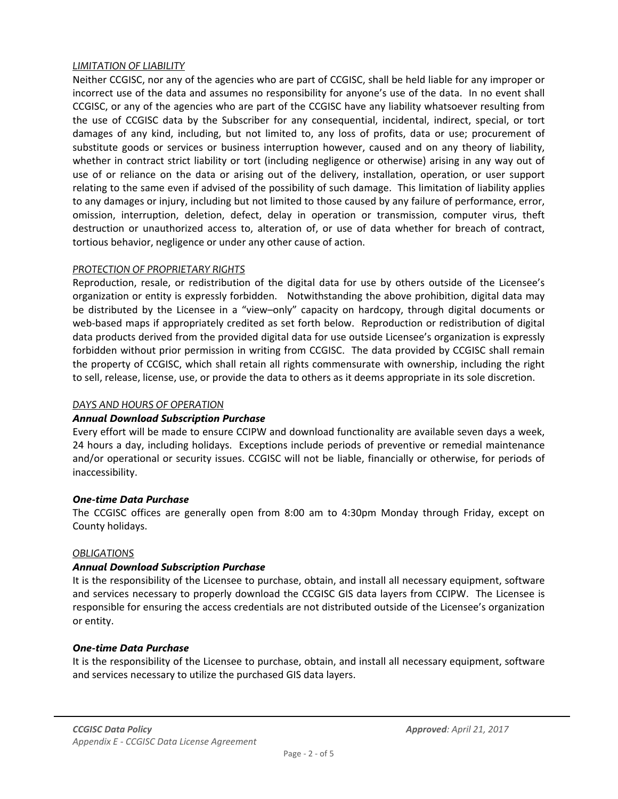#### *LIMITATION OF LIABILITY*

Neither CCGISC, nor any of the agencies who are part of CCGISC, shall be held liable for any improper or incorrect use of the data and assumes no responsibility for anyone's use of the data. In no event shall CCGISC, or any of the agencies who are part of the CCGISC have any liability whatsoever resulting from the use of CCGISC data by the Subscriber for any consequential, incidental, indirect, special, or tort damages of any kind, including, but not limited to, any loss of profits, data or use; procurement of substitute goods or services or business interruption however, caused and on any theory of liability, whether in contract strict liability or tort (including negligence or otherwise) arising in any way out of use of or reliance on the data or arising out of the delivery, installation, operation, or user support relating to the same even if advised of the possibility of such damage. This limitation of liability applies to any damages or injury, including but not limited to those caused by any failure of performance, error, omission, interruption, deletion, defect, delay in operation or transmission, computer virus, theft destruction or unauthorized access to, alteration of, or use of data whether for breach of contract, tortious behavior, negligence or under any other cause of action.

#### *PROTECTION OF PROPRIETARY RIGHTS*

Reproduction, resale, or redistribution of the digital data for use by others outside of the Licensee's organization or entity is expressly forbidden. Notwithstanding the above prohibition, digital data may be distributed by the Licensee in a "view–only" capacity on hardcopy, through digital documents or web-based maps if appropriately credited as set forth below. Reproduction or redistribution of digital data products derived from the provided digital data for use outside Licensee's organization is expressly forbidden without prior permission in writing from CCGISC. The data provided by CCGISC shall remain the property of CCGISC, which shall retain all rights commensurate with ownership, including the right to sell, release, license, use, or provide the data to others as it deems appropriate in its sole discretion.

#### *DAYS AND HOURS OF OPERATION*

#### *Annual Download Subscription Purchase*

Every effort will be made to ensure CCIPW and download functionality are available seven days a week, 24 hours a day, including holidays. Exceptions include periods of preventive or remedial maintenance and/or operational or security issues. CCGISC will not be liable, financially or otherwise, for periods of inaccessibility.

#### *One-time Data Purchase*

The CCGISC offices are generally open from 8:00 am to 4:30pm Monday through Friday, except on County holidays.

#### *OBLIGATIONS*

#### *Annual Download Subscription Purchase*

It is the responsibility of the Licensee to purchase, obtain, and install all necessary equipment, software and services necessary to properly download the CCGISC GIS data layers from CCIPW. The Licensee is responsible for ensuring the access credentials are not distributed outside of the Licensee's organization or entity.

#### *One-time Data Purchase*

It is the responsibility of the Licensee to purchase, obtain, and install all necessary equipment, software and services necessary to utilize the purchased GIS data layers.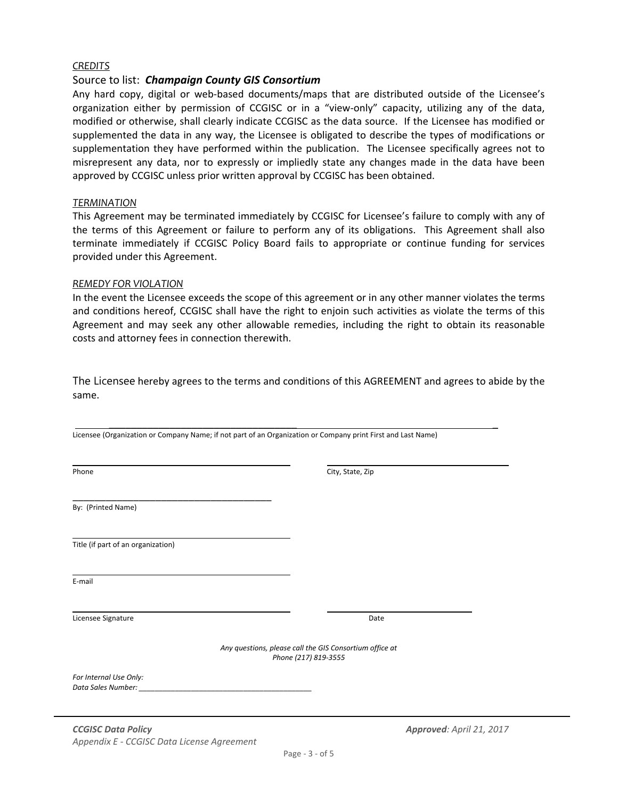#### *CREDITS*

#### Source to list: *Champaign County GIS Consortium*

Any hard copy, digital or web‐based documents/maps that are distributed outside of the Licensee's organization either by permission of CCGISC or in a "view-only" capacity, utilizing any of the data, modified or otherwise, shall clearly indicate CCGISC as the data source. If the Licensee has modified or supplemented the data in any way, the Licensee is obligated to describe the types of modifications or supplementation they have performed within the publication. The Licensee specifically agrees not to misrepresent any data, nor to expressly or impliedly state any changes made in the data have been approved by CCGISC unless prior written approval by CCGISC has been obtained.

#### *TERMINATION*

This Agreement may be terminated immediately by CCGISC for Licensee's failure to comply with any of the terms of this Agreement or failure to perform any of its obligations. This Agreement shall also terminate immediately if CCGISC Policy Board fails to appropriate or continue funding for services provided under this Agreement.

#### *REMEDY FOR VIOLATION*

In the event the Licensee exceeds the scope of this agreement or in any other manner violates the terms and conditions hereof, CCGISC shall have the right to enjoin such activities as violate the terms of this Agreement and may seek any other allowable remedies, including the right to obtain its reasonable costs and attorney fees in connection therewith.

The Licensee hereby agrees to the terms and conditions of this AGREEMENT and agrees to abide by the same.

\_\_\_\_\_\_\_\_\_\_\_\_\_\_\_\_\_\_\_\_\_\_\_\_\_\_\_\_\_\_\_\_\_\_ \_

| Licensee (Organization or Company Name; if not part of an Organization or Company print First and Last Name) |                                                                                 |                  |                          |
|--------------------------------------------------------------------------------------------------------------|---------------------------------------------------------------------------------|------------------|--------------------------|
| Phone                                                                                                        |                                                                                 | City, State, Zip |                          |
| By: (Printed Name)                                                                                           |                                                                                 |                  |                          |
| Title (if part of an organization)                                                                           |                                                                                 |                  |                          |
| E-mail                                                                                                       |                                                                                 |                  |                          |
| Licensee Signature                                                                                           |                                                                                 | Date             |                          |
|                                                                                                              | Any questions, please call the GIS Consortium office at<br>Phone (217) 819-3555 |                  |                          |
| For Internal Use Only:<br>Data Sales Number:                                                                 | <u> 1980 - Jan Barbarat, martin da shekara 1980 - Andrew Start Barbarat (</u>   |                  |                          |
| <b>CCGISC Data Policy</b>                                                                                    |                                                                                 |                  | Approved: April 21, 2017 |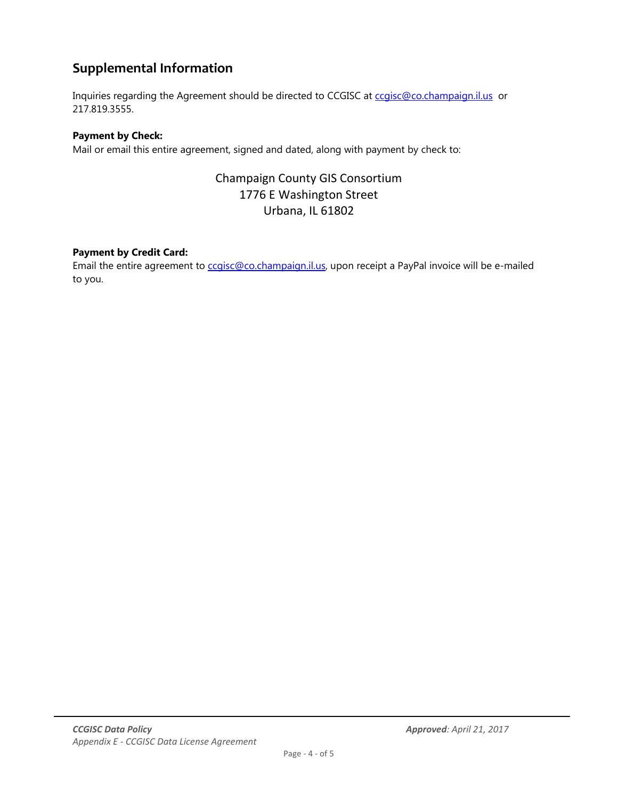# **Supplemental Information**

Inquiries regarding the Agreement should be directed to CCGISC at ccgisc@co.champaign.il.us or 217.819.3555.

#### **Payment by Check:**

Mail or email this entire agreement, signed and dated, along with payment by check to:

### Champaign County GIS Consortium 1776 E Washington Street Urbana, IL 61802

#### **Payment by Credit Card:**

Email the entire agreement to ccgisc@co.champaign.il.us, upon receipt a PayPal invoice will be e-mailed to you.